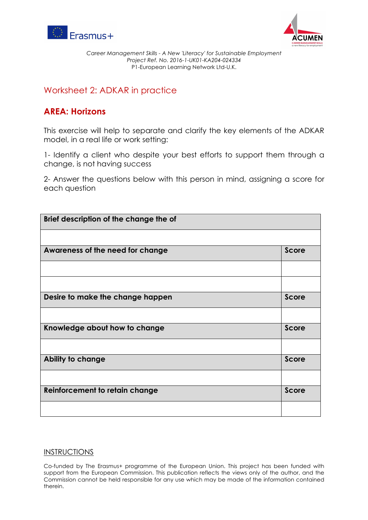



*Career Management Skills - A New 'Literacy' for Sustainable Employment Project Ref. No. 2016-1-UK01-KA204-024334* P1-European Learning Network Ltd-U.K.

## Worksheet 2: ADKAR in practice

## **AREA: Horizons**

This exercise will help to separate and clarify the key elements of the ADKAR model, in a real life or work setting:

1- Identify a client who despite your best efforts to support them through a change, is not having success

2- Answer the questions below with this person in mind, assigning a score for each question

| Brief description of the change the of |              |
|----------------------------------------|--------------|
|                                        |              |
| Awareness of the need for change       | <b>Score</b> |
|                                        |              |
|                                        |              |
| Desire to make the change happen       | <b>Score</b> |
|                                        |              |
| Knowledge about how to change          | <b>Score</b> |
|                                        |              |
| <b>Ability to change</b>               | <b>Score</b> |
|                                        |              |
| <b>Reinforcement to retain change</b>  | <b>Score</b> |
|                                        |              |

## INSTRUCTIONS

Co-funded by The Erasmus+ programme of the European Union. This project has been funded with support from the European Commission. This publication reflects the views only of the author, and the Commission cannot be held responsible for any use which may be made of the information contained therein.